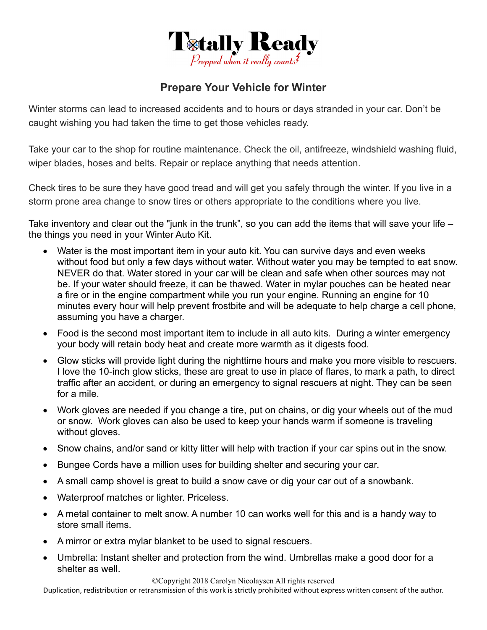

## **Prepare Your Vehicle for Winter**

Winter storms can lead to increased accidents and to hours or days stranded in your car. Don't be caught wishing you had taken the time to get those vehicles ready.

Take your car to the shop for routine maintenance. Check the oil, antifreeze, windshield washing fluid, wiper blades, hoses and belts. Repair or replace anything that needs attention.

Check tires to be sure they have good tread and will get you safely through the winter. If you live in a storm prone area change to snow tires or others appropriate to the conditions where you live.

Take inventory and clear out the "junk in the trunk", so you can add the items that will save your life – the things you need in your Winter Auto Kit.

- Water is the most important item in your auto kit. You can survive days and even weeks without food but only a few days without water. Without water you may be tempted to eat snow. NEVER do that. Water stored in your car will be clean and safe when other sources may not be. If your water should freeze, it can be thawed. Water in mylar pouches can be heated near a fire or in the engine compartment while you run your engine. Running an engine for 10 minutes every hour will help prevent frostbite and will be adequate to help charge a cell phone, assuming you have a charger.
- Food is the second most important item to include in all auto kits. During a winter emergency your body will retain body heat and create more warmth as it digests food.
- Glow sticks will provide light during the nighttime hours and make you more visible to rescuers. I love the 10-inch glow sticks, these are great to use in place of flares, to mark a path, to direct traffic after an accident, or during an emergency to signal rescuers at night. They can be seen for a mile.
- Work gloves are needed if you change a tire, put on chains, or dig your wheels out of the mud or snow. Work gloves can also be used to keep your hands warm if someone is traveling without gloves.
- Snow chains, and/or sand or kitty litter will help with traction if your car spins out in the snow.
- Bungee Cords have a million uses for building shelter and securing your car.
- A small camp shovel is great to build a snow cave or dig your car out of a snowbank.
- Waterproof matches or lighter. Priceless.
- A metal container to melt snow. A number 10 can works well for this and is a handy way to store small items.
- A mirror or extra mylar blanket to be used to signal rescuers.
- Umbrella: Instant shelter and protection from the wind. Umbrellas make a good door for a shelter as well.

©Copyright 2018 Carolyn Nicolaysen All rights reserved

Duplication, redistribution or retransmission of this work is strictly prohibited without express written consent of the author.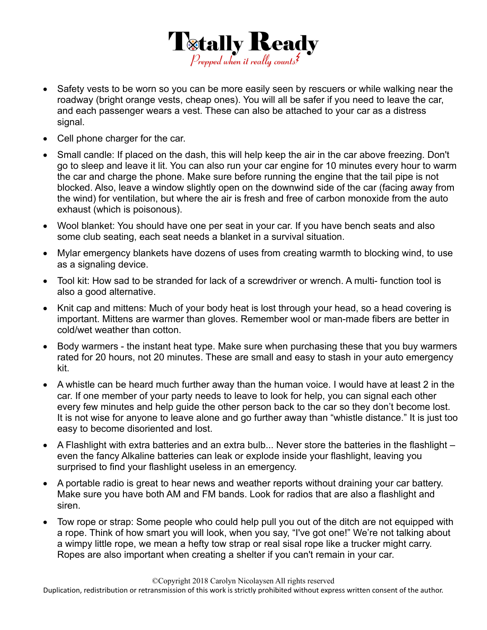

- Safety vests to be worn so you can be more easily seen by rescuers or while walking near the roadway (bright orange vests, cheap ones). You will all be safer if you need to leave the car, and each passenger wears a vest. These can also be attached to your car as a distress signal.
- Cell phone charger for the car.
- Small candle: If placed on the dash, this will help keep the air in the car above freezing. Don't go to sleep and leave it lit. You can also run your car engine for 10 minutes every hour to warm the car and charge the phone. Make sure before running the engine that the tail pipe is not blocked. Also, leave a window slightly open on the downwind side of the car (facing away from the wind) for ventilation, but where the air is fresh and free of carbon monoxide from the auto exhaust (which is poisonous).
- Wool blanket: You should have one per seat in your car. If you have bench seats and also some club seating, each seat needs a blanket in a survival situation.
- Mylar emergency blankets have dozens of uses from creating warmth to blocking wind, to use as a signaling device.
- Tool kit: How sad to be stranded for lack of a screwdriver or wrench. A multi- function tool is also a good alternative.
- Knit cap and mittens: Much of your body heat is lost through your head, so a head covering is important. Mittens are warmer than gloves. Remember wool or man-made fibers are better in cold/wet weather than cotton.
- Body warmers the instant heat type. Make sure when purchasing these that you buy warmers rated for 20 hours, not 20 minutes. These are small and easy to stash in your auto emergency kit.
- A whistle can be heard much further away than the human voice. I would have at least 2 in the car. If one member of your party needs to leave to look for help, you can signal each other every few minutes and help guide the other person back to the car so they don't become lost. It is not wise for anyone to leave alone and go further away than "whistle distance." It is just too easy to become disoriented and lost.
- A Flashlight with extra batteries and an extra bulb... Never store the batteries in the flashlight even the fancy Alkaline batteries can leak or explode inside your flashlight, leaving you surprised to find your flashlight useless in an emergency.
- A portable radio is great to hear news and weather reports without draining your car battery. Make sure you have both AM and FM bands. Look for radios that are also a flashlight and siren.
- Tow rope or strap: Some people who could help pull you out of the ditch are not equipped with a rope. Think of how smart you will look, when you say, "I've got one!" We're not talking about a wimpy little rope, we mean a hefty tow strap or real sisal rope like a trucker might carry. Ropes are also important when creating a shelter if you can't remain in your car.

Duplication, redistribution or retransmission of this work is strictly prohibited without express written consent of the author.